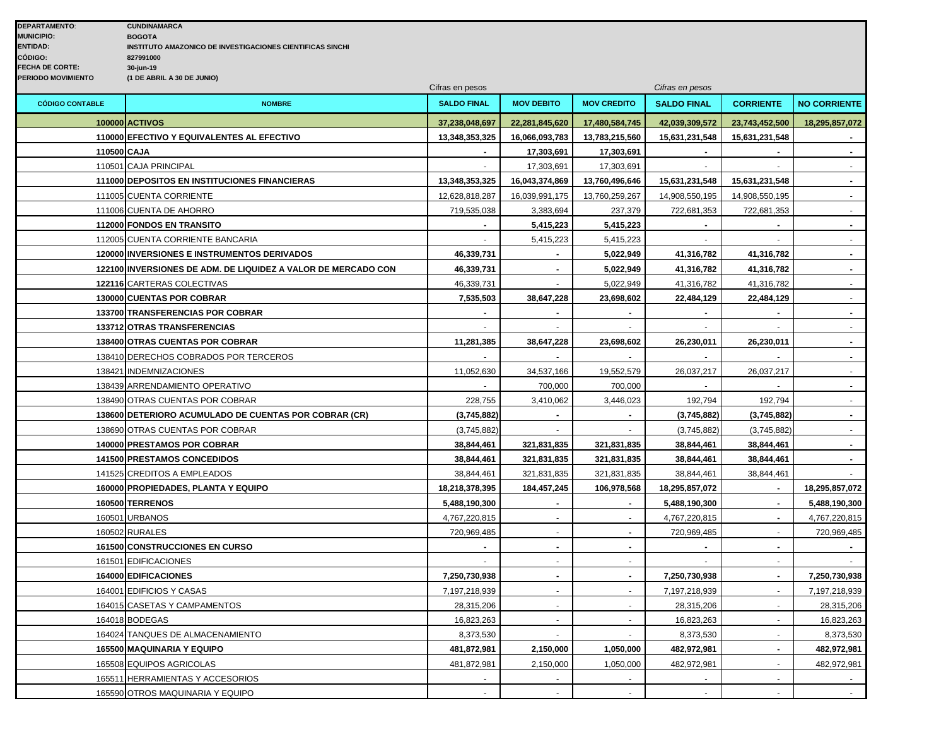|                        |                                                               | Cifras en pesos    |                   |                    | Cifras en pesos    |                  |                     |
|------------------------|---------------------------------------------------------------|--------------------|-------------------|--------------------|--------------------|------------------|---------------------|
| <b>CÓDIGO CONTABLE</b> | <b>NOMBRE</b>                                                 | <b>SALDO FINAL</b> | <b>MOV DEBITO</b> | <b>MOV CREDITO</b> | <b>SALDO FINAL</b> | <b>CORRIENTE</b> | <b>NO CORRIENTE</b> |
|                        | <b>100000 ACTIVOS</b>                                         | 37,238,048,697     | 22,281,845,620    | 17,480,584,745     | 42,039,309,572     | 23,743,452,500   | 18,295,857,072      |
|                        | 110000 EFECTIVO Y EQUIVALENTES AL EFECTIVO                    | 13,348,353,325     | 16,066,093,783    | 13,783,215,560     | 15,631,231,548     | 15,631,231,548   |                     |
| 110500 CAJA            |                                                               |                    | 17,303,691        | 17,303,691         |                    |                  | $\blacksquare$      |
|                        | 110501 CAJA PRINCIPAL                                         |                    | 17,303,691        | 17,303,691         |                    |                  |                     |
|                        | 111000 DEPOSITOS EN INSTITUCIONES FINANCIERAS                 | 13,348,353,325     | 16,043,374,869    | 13,760,496,646     | 15,631,231,548     | 15,631,231,548   | $\sim$              |
|                        | 111005 CUENTA CORRIENTE                                       | 12,628,818,287     | 16,039,991,175    | 13,760,259,267     | 14,908,550,195     | 14,908,550,195   | $\blacksquare$      |
|                        | 111006 CUENTA DE AHORRO                                       | 719,535,038        | 3,383,694         | 237,379            | 722,681,353        | 722,681,353      | $\blacksquare$      |
|                        | 112000 FONDOS EN TRANSITO                                     |                    | 5,415,223         | 5,415,223          |                    |                  |                     |
|                        | 112005 CUENTA CORRIENTE BANCARIA                              |                    | 5,415,223         | 5,415,223          | $\sim$             | $\blacksquare$   | $\blacksquare$      |
|                        | 120000 INVERSIONES E INSTRUMENTOS DERIVADOS                   | 46,339,731         | $\blacksquare$    | 5,022,949          | 41,316,782         | 41,316,782       | $\blacksquare$      |
|                        | 122100 INVERSIONES DE ADM. DE LIQUIDEZ A VALOR DE MERCADO CON | 46,339,731         |                   | 5,022,949          | 41,316,782         | 41,316,782       | $\blacksquare$      |
|                        | 122116 CARTERAS COLECTIVAS                                    | 46,339,731         |                   | 5,022,949          | 41,316,782         | 41,316,782       | $\omega$            |
|                        | 130000 CUENTAS POR COBRAR                                     | 7,535,503          | 38,647,228        | 23,698,602         | 22,484,129         | 22,484,129       | $\blacksquare$      |
|                        | 133700 TRANSFERENCIAS POR COBRAR                              | $\overline{a}$     | $\overline{a}$    | $\sim$             | $\blacksquare$     | $\mathbf{r}$     | $\sim$              |
|                        | 133712 OTRAS TRANSFERENCIAS                                   | $\sim$             |                   | $\sim$             | $\sim$             | $\sim$           | $\blacksquare$      |
|                        | 138400 OTRAS CUENTAS POR COBRAR                               | 11,281,385         | 38,647,228        | 23,698,602         | 26,230,011         | 26,230,011       | $\blacksquare$      |
|                        | 138410 DERECHOS COBRADOS POR TERCEROS                         |                    |                   |                    |                    |                  |                     |
|                        | 138421 INDEMNIZACIONES                                        | 11,052,630         | 34,537,166        | 19,552,579         | 26,037,217         | 26,037,217       | $\mathbf{r}$        |
|                        | 138439 ARRENDAMIENTO OPERATIVO                                |                    | 700,000           | 700,000            | $\sim$             | $\blacksquare$   | $\omega$            |
|                        | 138490 OTRAS CUENTAS POR COBRAR                               | 228,755            | 3,410,062         | 3,446,023          | 192,794            | 192,794          | $\blacksquare$      |
|                        | 138600 DETERIORO ACUMULADO DE CUENTAS POR COBRAR (CR)         | (3,745,882)        |                   | $\overline{a}$     | (3,745,882)        | (3,745,882)      | $\blacksquare$      |
|                        | 138690 OTRAS CUENTAS POR COBRAR                               | (3,745,882)        |                   |                    | (3,745,882)        | (3,745,882)      | $\blacksquare$      |
|                        | 140000 PRESTAMOS POR COBRAR                                   | 38,844,461         | 321,831,835       | 321,831,835        | 38,844,461         | 38,844,461       | $\sim$              |
|                        | <b>141500 PRESTAMOS CONCEDIDOS</b>                            | 38,844,461         | 321,831,835       | 321,831,835        | 38,844,461         | 38,844,461       | $\blacksquare$      |
|                        | 141525 CREDITOS A EMPLEADOS                                   | 38,844,461         | 321,831,835       | 321,831,835        | 38,844,461         | 38,844,461       |                     |
|                        | 160000 PROPIEDADES, PLANTA Y EQUIPO                           | 18,218,378,395     | 184,457,245       | 106,978,568        | 18,295,857,072     |                  | 18,295,857,072      |
|                        | 160500 TERRENOS                                               | 5,488,190,300      | $\blacksquare$    | $\sim$             | 5,488,190,300      |                  | 5,488,190,300       |
|                        | 160501 URBANOS                                                | 4,767,220,815      | $\omega$          | $\sim$             | 4,767,220,815      | $\sim$           | 4,767,220,815       |
|                        | 160502 RURALES                                                | 720,969,485        |                   |                    | 720,969,485        |                  | 720,969,485         |
|                        | <b>161500 CONSTRUCCIONES EN CURSO</b>                         |                    | $\overline{a}$    | $\sim$             |                    |                  |                     |
|                        | 161501 EDIFICACIONES                                          |                    |                   |                    |                    |                  |                     |
|                        | <b>164000 EDIFICACIONES</b>                                   | 7,250,730,938      | $\blacksquare$    | $\sim$             | 7,250,730,938      |                  | 7,250,730,938       |
|                        | 164001 EDIFICIOS Y CASAS                                      | 7,197,218,939      | $\blacksquare$    | $\sim$             | 7,197,218,939      | $\sim$           | 7,197,218,939       |
|                        | 164015 CASETAS Y CAMPAMENTOS                                  | 28,315,206         | $\overline{a}$    | $\sim$             | 28,315,206         |                  | 28,315,206          |
|                        | 164018 BODEGAS                                                | 16,823,263         |                   |                    | 16,823,263         |                  | 16,823,263          |
|                        | 164024 TANQUES DE ALMACENAMIENTO                              | 8,373,530          |                   |                    | 8,373,530          |                  | 8,373,530           |
|                        | 165500 MAQUINARIA Y EQUIPO                                    | 481,872,981        | 2,150,000         | 1,050,000          | 482,972,981        | $\blacksquare$   | 482,972,981         |
|                        | 165508 EQUIPOS AGRICOLAS                                      | 481,872,981        | 2,150,000         | 1,050,000          | 482,972,981        |                  | 482,972,981         |
|                        | 165511 HERRAMIENTAS Y ACCESORIOS                              |                    |                   |                    |                    |                  |                     |
|                        | 165590 OTROS MAQUINARIA Y EQUIPO                              |                    |                   |                    |                    |                  |                     |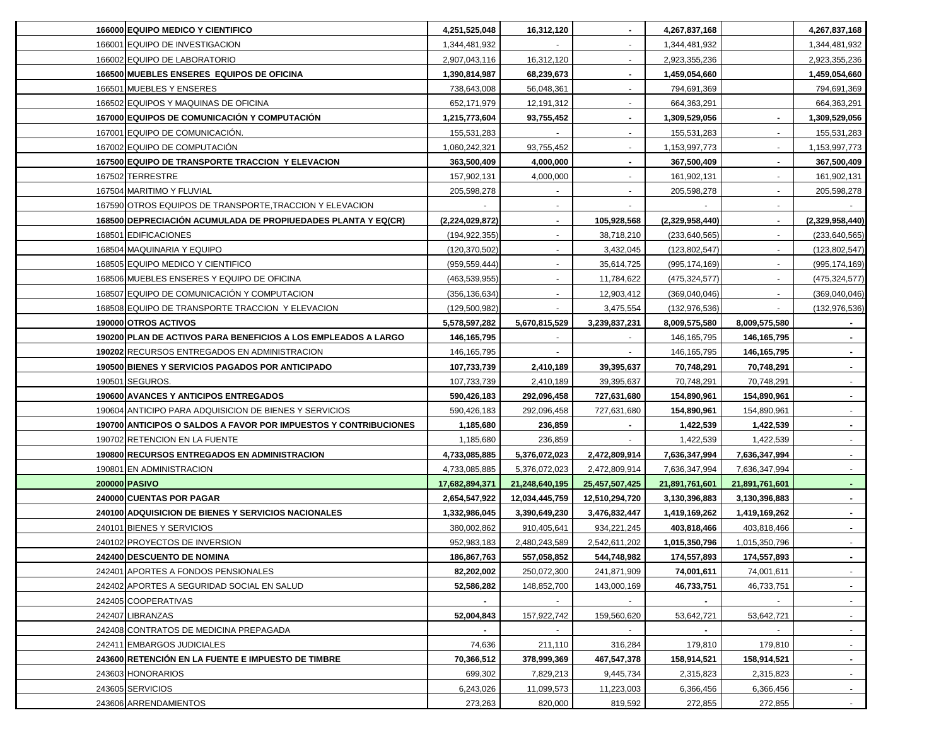| 166000 EQUIPO MEDICO Y CIENTIFICO                                | 4,251,525,048   | 16,312,120     |                | 4,267,837,168   |                | 4,267,837,168   |
|------------------------------------------------------------------|-----------------|----------------|----------------|-----------------|----------------|-----------------|
| 166001 EQUIPO DE INVESTIGACION                                   | 1,344,481,932   |                |                | 1,344,481,932   |                | 1,344,481,932   |
| 166002 EQUIPO DE LABORATORIO                                     | 2,907,043,116   | 16,312,120     | $\blacksquare$ | 2,923,355,236   |                | 2,923,355,236   |
| 166500 MUEBLES ENSERES EQUIPOS DE OFICINA                        | 1,390,814,987   | 68,239,673     | ۰.             | 1,459,054,660   |                | 1,459,054,660   |
| 166501 MUEBLES Y ENSERES                                         | 738,643,008     | 56,048,361     | $\blacksquare$ | 794,691,369     |                | 794,691,369     |
| 166502 EQUIPOS Y MAQUINAS DE OFICINA                             | 652,171,979     | 12,191,312     | $\blacksquare$ | 664,363,291     |                | 664,363,291     |
| 167000 EQUIPOS DE COMUNICACIÓN Y COMPUTACIÓN                     | 1,215,773,604   | 93,755,452     |                | 1,309,529,056   |                | 1,309,529,056   |
| 167001 EQUIPO DE COMUNICACIÓN.                                   | 155,531,283     |                |                | 155,531,283     |                | 155,531,283     |
| 167002 EQUIPO DE COMPUTACIÓN                                     | 1,060,242,321   | 93,755,452     |                | 1,153,997,773   |                | 1,153,997,773   |
| 167500 EQUIPO DE TRANSPORTE TRACCION Y ELEVACION                 | 363,500,409     | 4,000,000      |                | 367,500,409     |                | 367,500,409     |
| 167502 TERRESTRE                                                 | 157,902,131     | 4,000,000      |                | 161,902,131     |                | 161,902,131     |
| 167504 MARITIMO Y FLUVIAL                                        | 205,598,278     |                |                | 205,598,278     |                | 205,598,278     |
| 167590 OTROS EQUIPOS DE TRANSPORTE, TRACCION Y ELEVACION         |                 |                |                |                 |                |                 |
| 168500 DEPRECIACIÓN ACUMULADA DE PROPIUEDADES PLANTA Y EQ(CR)    | (2,224,029,872) |                | 105,928,568    | (2,329,958,440) |                | (2,329,958,440) |
| 168501 EDIFICACIONES                                             | (194, 922, 355) |                | 38,718,210     | (233, 640, 565) |                | (233, 640, 565) |
| 168504 MAQUINARIA Y EQUIPO                                       | (120, 370, 502) |                | 3,432,045      | (123, 802, 547) |                | (123, 802, 547) |
| 168505 EQUIPO MEDICO Y CIENTIFICO                                | (959, 559, 444) |                | 35,614,725     | (995, 174, 169) |                | (995, 174, 169) |
| 168506 MUEBLES ENSERES Y EQUIPO DE OFICINA                       | (463, 539, 955) |                | 11,784,622     | (475, 324, 577) |                | (475,324,577)   |
| 168507 EQUIPO DE COMUNICACIÓN Y COMPUTACION                      | (356, 136, 634) |                | 12,903,412     | (369,040,046)   |                | (369,040,046)   |
| 168508 EQUIPO DE TRANSPORTE TRACCION Y ELEVACION                 | (129, 500, 982) |                | 3,475,554      | (132, 976, 536) |                | (132, 976, 536) |
| 190000 OTROS ACTIVOS                                             | 5,578,597,282   | 5,670,815,529  | 3,239,837,231  | 8,009,575,580   | 8,009,575,580  |                 |
| 190200 PLAN DE ACTIVOS PARA BENEFICIOS A LOS EMPLEADOS A LARGO   | 146,165,795     |                |                | 146, 165, 795   | 146,165,795    |                 |
| 190202 RECURSOS ENTREGADOS EN ADMINISTRACION                     | 146, 165, 795   |                |                | 146, 165, 795   | 146, 165, 795  |                 |
| 190500 BIENES Y SERVICIOS PAGADOS POR ANTICIPADO                 | 107,733,739     | 2,410,189      | 39,395,637     | 70,748,291      | 70,748,291     |                 |
| 190501 SEGUROS.                                                  | 107,733,739     | 2,410,189      | 39,395,637     | 70,748,291      | 70,748,291     |                 |
| 190600 AVANCES Y ANTICIPOS ENTREGADOS                            | 590,426,183     | 292,096,458    | 727,631,680    | 154,890,961     | 154,890,961    |                 |
| 190604 ANTICIPO PARA ADQUISICION DE BIENES Y SERVICIOS           | 590,426,183     | 292,096,458    | 727,631,680    | 154,890,961     | 154,890,961    |                 |
| 190700 ANTICIPOS O SALDOS A FAVOR POR IMPUESTOS Y CONTRIBUCIONES | 1,185,680       | 236,859        |                | 1,422,539       | 1,422,539      | $\sim$          |
| 190702 RETENCION EN LA FUENTE                                    | 1,185,680       | 236,859        |                | 1,422,539       | 1,422,539      | $\sim$          |
| 190800 RECURSOS ENTREGADOS EN ADMINISTRACION                     | 4,733,085,885   | 5,376,072,023  | 2,472,809,914  | 7,636,347,994   | 7,636,347,994  | $\sim$          |
| 190801 EN ADMINISTRACION                                         | 4,733,085,885   | 5,376,072,023  | 2,472,809,914  | 7,636,347,994   | 7,636,347,994  | $\sim$          |
| 200000 PASIVO                                                    | 17,682,894,371  | 21,248,640,195 | 25,457,507,425 | 21,891,761,601  | 21,891,761,601 | $\sim$          |
| 240000 CUENTAS POR PAGAR                                         | 2,654,547,922   | 12,034,445,759 | 12,510,294,720 | 3,130,396,883   | 3,130,396,883  |                 |
| 240100 ADQUISICION DE BIENES Y SERVICIOS NACIONALES              | 1,332,986,045   | 3,390,649,230  | 3,476,832,447  | 1,419,169,262   | 1,419,169,262  |                 |
| 240101 BIENES Y SERVICIOS                                        | 380,002,862     | 910,405,641    | 934,221,245    | 403,818,466     | 403,818,466    |                 |
| 240102 PROYECTOS DE INVERSION                                    | 952,983,183     | 2,480,243,589  | 2,542,611,202  | 1,015,350,796   | 1,015,350,796  |                 |
| 242400 DESCUENTO DE NOMINA                                       | 186,867,763     | 557,058,852    | 544,748,982    | 174,557,893     | 174,557,893    |                 |
| 242401 APORTES A FONDOS PENSIONALES                              | 82,202,002      | 250,072,300    | 241,871,909    | 74,001,611      | 74,001,611     |                 |
| 242402 APORTES A SEGURIDAD SOCIAL EN SALUD                       | 52,586,282      | 148,852,700    | 143,000,169    | 46,733,751      | 46,733,751     | $\sim$          |
| 242405 COOPERATIVAS                                              |                 |                |                |                 |                | $\sim$          |
| 242407 LIBRANZAS                                                 | 52,004,843      | 157,922,742    | 159,560,620    | 53,642,721      | 53,642,721     | $\sim$          |
| 242408 CONTRATOS DE MEDICINA PREPAGADA                           |                 | $\sim$         |                |                 |                | $\sim$          |
| 242411 EMBARGOS JUDICIALES                                       | 74,636          | 211,110        | 316,284        | 179,810         | 179,810        | $\sim$          |
| 243600 RETENCIÓN EN LA FUENTE E IMPUESTO DE TIMBRE               | 70,366,512      |                |                |                 |                | $\sim$          |
|                                                                  |                 | 378,999,369    | 467,547,378    | 158,914,521     | 158,914,521    |                 |
| 243603 HONORARIOS                                                | 699,302         | 7,829,213      | 9,445,734      | 2,315,823       | 2,315,823      | $\sim$          |
| 243605 SERVICIOS                                                 | 6,243,026       | 11,099,573     | 11,223,003     | 6,366,456       | 6,366,456      | $\sim$          |
| 243606 ARRENDAMIENTOS                                            | 273,263         | 820,000        | 819,592        | 272,855         | 272,855        | $\sim$          |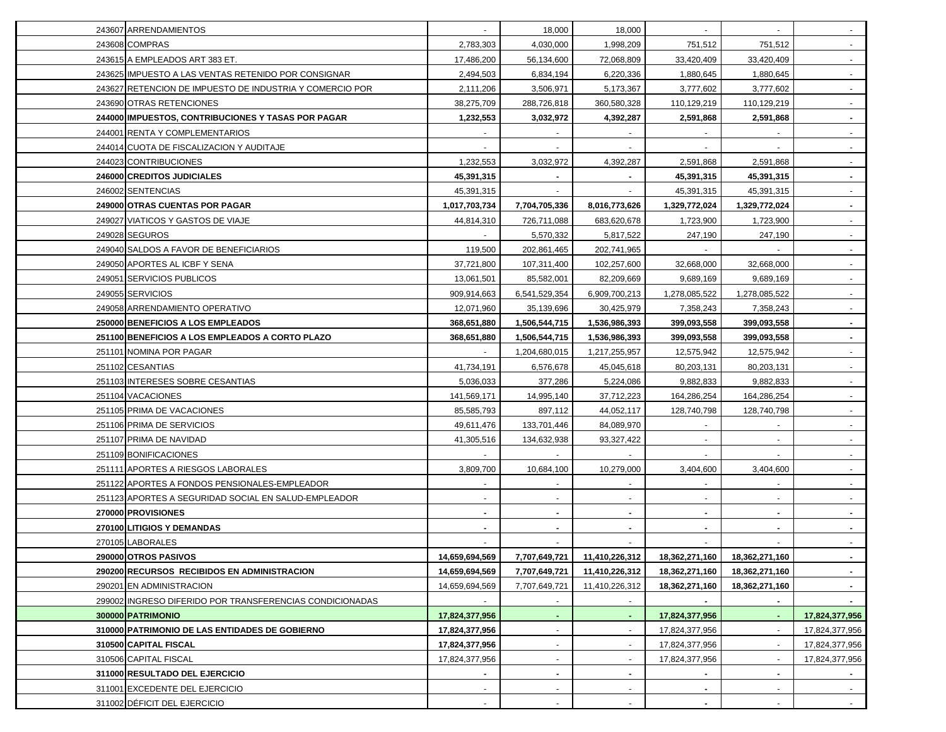| 243607 ARRENDAMIENTOS                                    | $\blacksquare$           | 18,000                   | 18,000         |                | $\sim$         |                |
|----------------------------------------------------------|--------------------------|--------------------------|----------------|----------------|----------------|----------------|
| 243608 COMPRAS                                           | 2,783,303                | 4,030,000                | 1,998,209      | 751,512        | 751,512        |                |
| 243615 A EMPLEADOS ART 383 ET.                           | 17,486,200               | 56,134,600               | 72,068,809     | 33,420,409     | 33,420,409     |                |
| 243625 IMPUESTO A LAS VENTAS RETENIDO POR CONSIGNAR      | 2,494,503                | 6,834,194                | 6,220,336      | 1,880,645      | 1,880,645      |                |
| 243627 RETENCION DE IMPUESTO DE INDUSTRIA Y COMERCIO POR | 2,111,206                | 3,506,971                | 5,173,367      | 3,777,602      | 3,777,602      |                |
| 243690 OTRAS RETENCIONES                                 | 38,275,709               | 288,726,818              | 360,580,328    | 110,129,219    | 110,129,219    |                |
| 244000 IMPUESTOS, CONTRIBUCIONES Y TASAS POR PAGAR       | 1,232,553                | 3,032,972                | 4,392,287      | 2,591,868      | 2,591,868      |                |
| 244001 RENTA Y COMPLEMENTARIOS                           |                          |                          |                |                |                |                |
| 244014 CUOTA DE FISCALIZACION Y AUDITAJE                 |                          |                          |                |                |                |                |
| 244023 CONTRIBUCIONES                                    | 1,232,553                | 3,032,972                | 4,392,287      | 2,591,868      | 2,591,868      |                |
| 246000 CREDITOS JUDICIALES                               | 45,391,315               |                          | $\sim$         | 45,391,315     | 45,391,315     | $\sim$         |
| 246002 SENTENCIAS                                        | 45,391,315               |                          |                | 45,391,315     | 45,391,315     | $\sim$         |
| 249000 OTRAS CUENTAS POR PAGAR                           | 1,017,703,734            | 7,704,705,336            | 8,016,773,626  | 1,329,772,024  | 1,329,772,024  |                |
| 249027 VIATICOS Y GASTOS DE VIAJE                        | 44,814,310               | 726,711,088              | 683,620,678    | 1,723,900      | 1,723,900      |                |
| 249028 SEGUROS                                           |                          | 5,570,332                | 5,817,522      | 247,190        | 247,190        |                |
| 249040 SALDOS A FAVOR DE BENEFICIARIOS                   | 119,500                  | 202,861,465              | 202,741,965    |                |                |                |
| 249050 APORTES AL ICBF Y SENA                            | 37,721,800               | 107,311,400              | 102,257,600    | 32,668,000     | 32.668.000     |                |
| 249051 SERVICIOS PUBLICOS                                | 13,061,501               | 85,582,001               | 82,209,669     | 9,689,169      | 9,689,169      |                |
| 249055 SERVICIOS                                         | 909,914,663              | 6,541,529,354            | 6,909,700,213  | 1,278,085,522  | 1,278,085,522  |                |
| 249058 ARRENDAMIENTO OPERATIVO                           | 12,071,960               | 35,139,696               | 30,425,979     | 7,358,243      | 7,358,243      |                |
| 250000 BENEFICIOS A LOS EMPLEADOS                        | 368,651,880              | 1,506,544,715            | 1,536,986,393  | 399,093,558    | 399,093,558    | $\sim$         |
| 251100 BENEFICIOS A LOS EMPLEADOS A CORTO PLAZO          | 368,651,880              | 1,506,544,715            | 1,536,986,393  | 399,093,558    | 399,093,558    | $\sim$         |
| 251101 NOMINA POR PAGAR                                  | $\blacksquare$           | 1,204,680,015            | 1,217,255,957  | 12,575,942     | 12,575,942     | $\sim$         |
| 251102 CESANTIAS                                         | 41,734,191               | 6,576,678                | 45,045,618     | 80,203,131     | 80,203,131     | $\sim$         |
| 251103 INTERESES SOBRE CESANTIAS                         | 5,036,033                | 377,286                  | 5,224,086      | 9,882,833      | 9,882,833      | $\sim$         |
| 251104 VACACIONES                                        | 141,569,171              | 14,995,140               | 37,712,223     | 164,286,254    | 164,286,254    | $\sim$         |
| 251105 PRIMA DE VACACIONES                               | 85,585,793               | 897,112                  | 44,052,117     | 128,740,798    | 128,740,798    |                |
| 251106 PRIMA DE SERVICIOS                                | 49,611,476               | 133,701,446              | 84,089,970     |                |                |                |
| 251107 PRIMA DE NAVIDAD                                  | 41,305,516               | 134,632,938              | 93,327,422     |                | $\sim$         |                |
| 251109 BONIFICACIONES                                    |                          |                          |                |                |                |                |
| 251111 APORTES A RIESGOS LABORALES                       | 3,809,700                | 10,684,100               | 10,279,000     | 3,404,600      | 3,404,600      |                |
| 251122 APORTES A FONDOS PENSIONALES-EMPLEADOR            |                          |                          |                |                |                |                |
| 251123 APORTES A SEGURIDAD SOCIAL EN SALUD-EMPLEADOR     |                          | $\blacksquare$           | $\blacksquare$ |                |                |                |
| 270000 PROVISIONES                                       |                          | $\blacksquare$           | $\sim$         | $\blacksquare$ | ۰.             |                |
| 270100 LITIGIOS Y DEMANDAS                               |                          | $\blacksquare$           | $\blacksquare$ |                |                |                |
| 270105 LABORALES                                         |                          | $\blacksquare$           | $\sim$         |                |                | $\sim$         |
| 290000 OTROS PASIVOS                                     | 14,659,694,569           | 7,707,649,721            | 11,410,226,312 | 18,362,271,160 | 18,362,271,160 | $\sim$         |
| 290200 RECURSOS RECIBIDOS EN ADMINISTRACION              | 14,659,694,569           | 7,707,649,721            | 11,410,226,312 | 18,362,271,160 | 18,362,271,160 |                |
| 290201 EN ADMINISTRACION                                 | 14,659,694,569           | 7,707,649,721            | 11,410,226,312 | 18,362,271,160 | 18,362,271,160 | $\sim$         |
| 299002 INGRESO DIFERIDO POR TRANSFERENCIAS CONDICIONADAS |                          |                          |                |                |                |                |
| 300000 PATRIMONIO                                        | 17,824,377,956           |                          | $\blacksquare$ | 17,824,377,956 | $\sim$         | 17,824,377,956 |
| 310000 PATRIMONIO DE LAS ENTIDADES DE GOBIERNO           | 17,824,377,956           |                          | $\blacksquare$ | 17,824,377,956 |                | 17,824,377,956 |
| 310500 CAPITAL FISCAL                                    | 17,824,377,956           | $\blacksquare$           | $\sim$         | 17,824,377,956 | $\blacksquare$ | 17,824,377,956 |
| 310506 CAPITAL FISCAL                                    | 17,824,377,956           | $\overline{\phantom{a}}$ | $\sim$         | 17,824,377,956 |                | 17,824,377,956 |
| 311000 RESULTADO DEL EJERCICIO                           | $\sim$                   | $\blacksquare$           | $\sim$         |                | $\sim$         | $\sim$         |
| 311001 EXCEDENTE DEL EJERCICIO                           |                          | $\blacksquare$           | $\sim$         | $\blacksquare$ | $\blacksquare$ |                |
| 311002 DÉFICIT DEL EJERCICIO                             | $\overline{\phantom{a}}$ | $\sim$                   | $\blacksquare$ |                | $\sim$         | $\sim 100$     |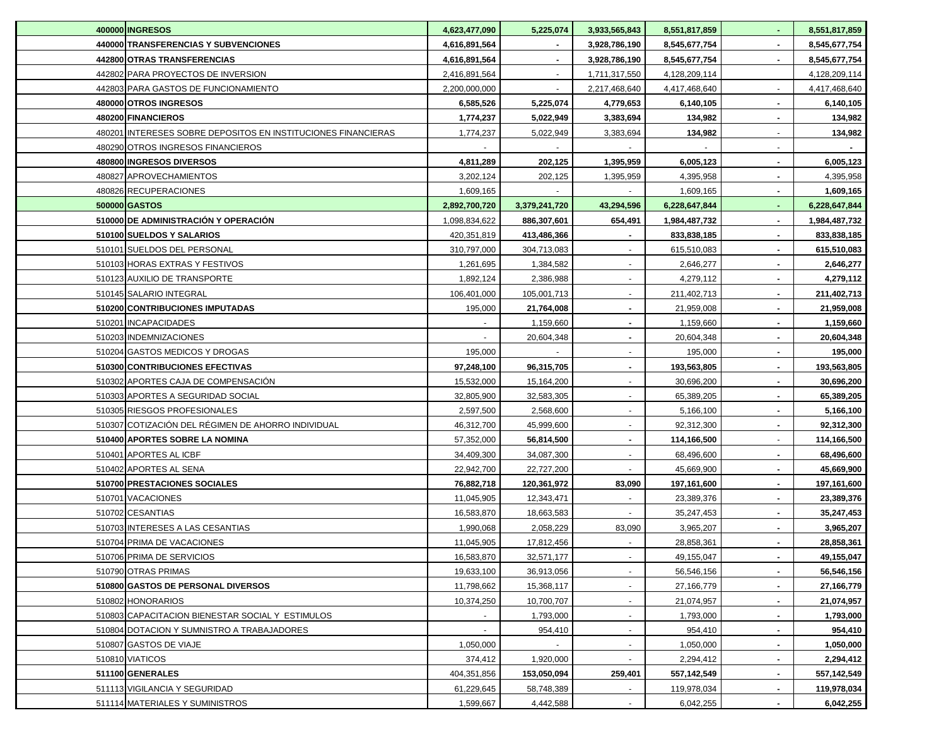| 400000 INGRESOS                                               | 4,623,477,090 | 5,225,074      | 3,933,565,843  | 8,551,817,859 |        | 8,551,817,859 |
|---------------------------------------------------------------|---------------|----------------|----------------|---------------|--------|---------------|
| 440000 TRANSFERENCIAS Y SUBVENCIONES                          | 4,616,891,564 | $\blacksquare$ | 3,928,786,190  | 8,545,677,754 |        | 8,545,677,754 |
| 442800 OTRAS TRANSFERENCIAS                                   | 4,616,891,564 |                | 3,928,786,190  | 8,545,677,754 |        | 8,545,677,754 |
| 442802 PARA PROYECTOS DE INVERSION                            | 2,416,891,564 |                | 1,711,317,550  | 4,128,209,114 |        | 4,128,209,114 |
| 442803 PARA GASTOS DE FUNCIONAMIENTO                          | 2,200,000,000 |                | 2,217,468,640  | 4,417,468,640 |        | 4,417,468,640 |
| 480000 OTROS INGRESOS                                         | 6,585,526     | 5,225,074      | 4,779,653      | 6,140,105     |        | 6,140,105     |
| 480200 FINANCIEROS                                            | 1,774,237     | 5,022,949      | 3,383,694      | 134,982       |        | 134,982       |
| 480201 INTERESES SOBRE DEPOSITOS EN INSTITUCIONES FINANCIERAS | 1,774,237     | 5,022,949      | 3,383,694      | 134,982       |        | 134,982       |
| 480290 OTROS INGRESOS FINANCIEROS                             |               |                |                |               |        |               |
| 480800 INGRESOS DIVERSOS                                      | 4,811,289     | 202,125        | 1,395,959      | 6,005,123     |        | 6,005,123     |
| 480827 APROVECHAMIENTOS                                       | 3,202,124     | 202,125        | 1,395,959      | 4,395,958     |        | 4,395,958     |
| 480826 RECUPERACIONES                                         | 1,609,165     |                |                | 1,609,165     |        | 1,609,165     |
| 500000 GASTOS                                                 | 2,892,700,720 | 3,379,241,720  | 43,294,596     | 6,228,647,844 |        | 6,228,647,844 |
| 510000 DE ADMINISTRACIÓN Y OPERACIÓN                          | 1,098,834,622 | 886,307,601    | 654,491        | 1,984,487,732 |        | 1,984,487,732 |
| 510100 SUELDOS Y SALARIOS                                     | 420,351,819   | 413,486,366    |                | 833,838,185   |        | 833,838,185   |
| 510101 SUELDOS DEL PERSONAL                                   | 310,797,000   | 304,713,083    |                | 615,510,083   |        | 615,510,083   |
| 510103 HORAS EXTRAS Y FESTIVOS                                | 1,261,695     | 1,384,582      |                | 2,646,277     |        | 2,646,277     |
| 510123 AUXILIO DE TRANSPORTE                                  | 1,892,124     | 2,386,988      |                | 4,279,112     |        | 4,279,112     |
| 510145 SALARIO INTEGRAL                                       | 106,401,000   | 105,001,713    |                | 211,402,713   |        | 211,402,713   |
| 510200 CONTRIBUCIONES IMPUTADAS                               | 195,000       | 21,764,008     |                | 21,959,008    |        | 21,959,008    |
| 510201 INCAPACIDADES                                          |               | 1,159,660      | $\blacksquare$ | 1,159,660     |        | 1,159,660     |
| 510203 INDEMNIZACIONES                                        |               | 20,604,348     | $\blacksquare$ | 20,604,348    |        | 20,604,348    |
| 510204 GASTOS MEDICOS Y DROGAS                                | 195,000       |                | $\blacksquare$ | 195,000       |        | 195,000       |
| 510300 CONTRIBUCIONES EFECTIVAS                               | 97,248,100    | 96,315,705     | $\blacksquare$ | 193,563,805   |        | 193,563,805   |
| 510302 APORTES CAJA DE COMPENSACIÓN                           | 15,532,000    | 15,164,200     | $\sim$         | 30,696,200    |        | 30,696,200    |
| 510303 APORTES A SEGURIDAD SOCIAL                             | 32,805,900    | 32,583,305     | $\sim$         | 65,389,205    |        | 65,389,205    |
| 510305 RIESGOS PROFESIONALES                                  | 2,597,500     | 2,568,600      | $\blacksquare$ | 5,166,100     |        | 5,166,100     |
| 510307 COTIZACIÓN DEL RÉGIMEN DE AHORRO INDIVIDUAL            | 46,312,700    | 45,999,600     | $\blacksquare$ | 92,312,300    |        | 92,312,300    |
| 510400 APORTES SOBRE LA NOMINA                                | 57,352,000    | 56,814,500     | $\blacksquare$ | 114,166,500   |        | 114,166,500   |
| 510401 APORTES AL ICBF                                        | 34,409,300    | 34,087,300     |                | 68,496,600    |        | 68,496,600    |
| 510402 APORTES AL SENA                                        | 22,942,700    | 22,727,200     |                | 45,669,900    |        | 45,669,900    |
| 510700 PRESTACIONES SOCIALES                                  | 76,882,718    | 120,361,972    | 83,090         | 197,161,600   |        | 197,161,600   |
| 510701 VACACIONES                                             | 11,045,905    | 12,343,471     |                | 23,389,376    |        | 23,389,376    |
| 510702 CESANTIAS                                              | 16,583,870    | 18,663,583     |                | 35,247,453    |        | 35,247,453    |
| 510703 INTERESES A LAS CESANTIAS                              | 1,990,068     | 2,058,229      | 83,090         | 3,965,207     |        | 3,965,207     |
| 510704 PRIMA DE VACACIONES                                    | 11,045,905    | 17,812,456     |                | 28,858,361    |        | 28,858,361    |
| 510706 PRIMA DE SERVICIOS                                     | 16,583,870    | 32,571,177     | $\sim$         | 49,155,047    | $\sim$ | 49,155,047    |
| 510790 OTRAS PRIMAS                                           | 19,633,100    | 36,913,056     | $\sim$         | 56,546,156    |        | 56,546,156    |
| 510800 GASTOS DE PERSONAL DIVERSOS                            | 11,798,662    | 15,368,117     |                | 27,166,779    |        | 27,166,779    |
| 510802 HONORARIOS                                             | 10,374,250    | 10,700,707     | $\blacksquare$ | 21,074,957    |        | 21,074,957    |
| 510803 CAPACITACION BIENESTAR SOCIAL Y ESTIMULOS              |               | 1,793,000      | $\blacksquare$ | 1,793,000     |        | 1,793,000     |
| 510804 DOTACION Y SUMNISTRO A TRABAJADORES                    |               | 954,410        |                | 954,410       |        | 954,410       |
| 510807 GASTOS DE VIAJE                                        | 1,050,000     |                | $\blacksquare$ | 1,050,000     |        | 1,050,000     |
| 510810 VIATICOS                                               | 374,412       | 1,920,000      |                | 2,294,412     |        | 2,294,412     |
| 511100 GENERALES                                              | 404,351,856   | 153,050,094    | 259,401        | 557,142,549   |        | 557,142,549   |
| 511113 VIGILANCIA Y SEGURIDAD                                 | 61,229,645    | 58,748,389     | $\blacksquare$ | 119,978,034   |        | 119,978,034   |
| 511114 MATERIALES Y SUMINISTROS                               | 1,599,667     | 4,442,588      | $\blacksquare$ | 6,042,255     |        | 6,042,255     |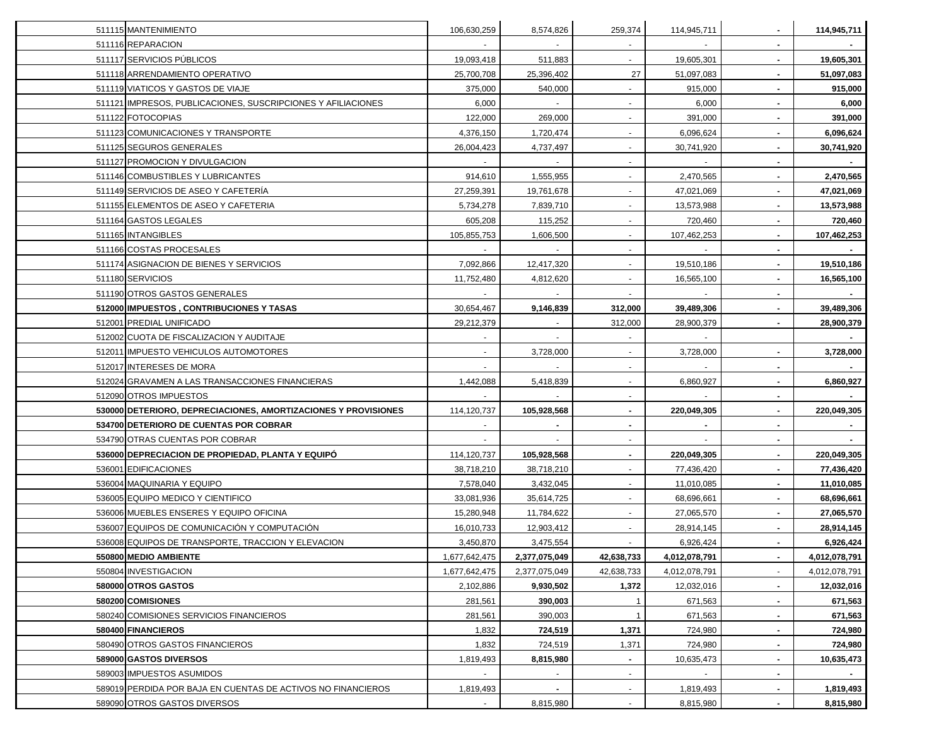| 511115 MANTENIMIENTO                                           | 106,630,259   | 8,574,826      | 259,374        | 114,945,711    |                | 114,945,711   |
|----------------------------------------------------------------|---------------|----------------|----------------|----------------|----------------|---------------|
| 511116 REPARACION                                              |               |                |                |                |                |               |
| 511117 SERVICIOS PÚBLICOS                                      | 19,093,418    | 511,883        | $\sim$         | 19,605,301     |                | 19,605,301    |
| 511118 ARRENDAMIENTO OPERATIVO                                 | 25,700,708    | 25,396,402     | 27             | 51,097,083     |                | 51,097,083    |
| 511119 VIATICOS Y GASTOS DE VIAJE                              | 375,000       | 540,000        |                | 915,000        |                | 915,000       |
| 511121 IMPRESOS, PUBLICACIONES, SUSCRIPCIONES Y AFILIACIONES   | 6,000         | $\sim$         | $\sim$         | 6,000          |                | 6,000         |
| 511122 FOTOCOPIAS                                              | 122,000       | 269,000        | $\blacksquare$ | 391,000        |                | 391,000       |
| 511123 COMUNICACIONES Y TRANSPORTE                             | 4,376,150     | 1,720,474      |                | 6,096,624      |                | 6,096,624     |
| 511125 SEGUROS GENERALES                                       | 26,004,423    | 4,737,497      | $\sim$         | 30,741,920     |                | 30,741,920    |
| 511127 PROMOCION Y DIVULGACION                                 |               |                |                |                |                |               |
| 511146 COMBUSTIBLES Y LUBRICANTES                              | 914,610       | 1,555,955      |                | 2,470,565      |                | 2,470,565     |
| 511149 SERVICIOS DE ASEO Y CAFETERIA                           | 27,259,391    | 19,761,678     |                | 47,021,069     |                | 47,021,069    |
| 511155 ELEMENTOS DE ASEO Y CAFETERIA                           | 5,734,278     | 7,839,710      |                | 13,573,988     |                | 13,573,988    |
| 511164 GASTOS LEGALES                                          | 605,208       | 115,252        |                | 720,460        |                | 720,460       |
| 511165 INTANGIBLES                                             | 105,855,753   | 1,606,500      |                | 107,462,253    |                | 107,462,253   |
| 511166 COSTAS PROCESALES                                       |               |                | $\blacksquare$ |                |                |               |
| 511174 ASIGNACION DE BIENES Y SERVICIOS                        | 7,092,866     | 12,417,320     | $\sim$         | 19,510,186     |                | 19,510,186    |
| 511180 SERVICIOS                                               | 11,752,480    | 4,812,620      |                | 16,565,100     |                | 16,565,100    |
| 511190 OTROS GASTOS GENERALES                                  | $\sim$        | $\sim$         |                | $\sim$         |                |               |
| 512000 IMPUESTOS, CONTRIBUCIONES Y TASAS                       | 30,654,467    | 9,146,839      | 312,000        | 39,489,306     |                | 39,489,306    |
| 512001 PREDIAL UNIFICADO                                       | 29,212,379    |                | 312,000        | 28,900,379     |                | 28,900,379    |
| 512002 CUOTA DE FISCALIZACION Y AUDITAJE                       |               |                |                |                |                |               |
| 512011 IMPUESTO VEHICULOS AUTOMOTORES                          |               | 3,728,000      |                | 3,728,000      |                | 3,728,000     |
| 512017 INTERESES DE MORA                                       |               |                |                |                |                |               |
| 512024 GRAVAMEN A LAS TRANSACCIONES FINANCIERAS                | 1,442,088     | 5,418,839      | $\blacksquare$ | 6,860,927      |                | 6,860,927     |
| 512090 OTROS IMPUESTOS                                         |               |                | $\blacksquare$ |                |                |               |
| 530000 DETERIORO, DEPRECIACIONES, AMORTIZACIONES Y PROVISIONES | 114,120,737   | 105,928,568    | $\blacksquare$ | 220,049,305    |                | 220,049,305   |
| 534700 DETERIORO DE CUENTAS POR COBRAR                         |               | $\sim$         | $\sim$         | $\blacksquare$ |                |               |
| 534790 OTRAS CUENTAS POR COBRAR                                |               | $\blacksquare$ | $\sim$         | $\sim$         | $\blacksquare$ |               |
| 536000 DEPRECIACION DE PROPIEDAD, PLANTA Y EQUIPÓ              | 114,120,737   | 105,928,568    | $\sim$         | 220,049,305    |                | 220,049,305   |
| 536001 EDIFICACIONES                                           | 38,718,210    | 38,718,210     | $\sim$         | 77,436,420     |                | 77,436,420    |
| 536004 MAQUINARIA Y EQUIPO                                     | 7,578,040     | 3,432,045      | $\blacksquare$ | 11,010,085     |                | 11,010,085    |
| 536005 EQUIPO MEDICO Y CIENTIFICO                              | 33,081,936    | 35,614,725     |                | 68,696,661     |                | 68,696,661    |
| 536006 MUEBLES ENSERES Y EQUIPO OFICINA                        | 15,280,948    | 11,784,622     | $\sim$         | 27,065,570     |                | 27,065,570    |
| 536007 EQUIPOS DE COMUNICACIÓN Y COMPUTACIÓN                   | 16,010,733    | 12,903,412     |                | 28,914,145     |                | 28,914,145    |
| 536008 EQUIPOS DE TRANSPORTE, TRACCION Y ELEVACION             | 3,450,870     | 3,475,554      |                | 6,926,424      |                | 6,926,424     |
| 550800 MEDIO AMBIENTE                                          | 1,677,642,475 | 2,377,075,049  | 42,638,733     | 4,012,078,791  |                | 4,012,078,791 |
| 550804 INVESTIGACION                                           | 1,677,642,475 | 2,377,075,049  | 42,638,733     | 4,012,078,791  |                | 4,012,078,791 |
| 580000 OTROS GASTOS                                            | 2,102,886     | 9,930,502      | 1,372          | 12,032,016     |                | 12,032,016    |
| 580200 COMISIONES                                              | 281,561       | 390,003        | -1             | 671,563        | ۰.             | 671,563       |
| 580240 COMISIONES SERVICIOS FINANCIEROS                        | 281,561       | 390,003        | -1             | 671,563        | ۰.             | 671,563       |
| 580400 FINANCIEROS                                             | 1,832         | 724,519        | 1,371          | 724,980        |                | 724,980       |
| 580490 OTROS GASTOS FINANCIEROS                                | 1,832         | 724,519        | 1,371          | 724,980        |                | 724,980       |
| 589000 GASTOS DIVERSOS                                         | 1,819,493     | 8,815,980      |                | 10,635,473     |                | 10,635,473    |
| 589003 IMPUESTOS ASUMIDOS                                      |               |                |                |                |                |               |
| 589019 PERDIDA POR BAJA EN CUENTAS DE ACTIVOS NO FINANCIEROS   | 1,819,493     |                |                | 1,819,493      |                | 1,819,493     |
| 589090 OTROS GASTOS DIVERSOS                                   |               | 8,815,980      | $\blacksquare$ | 8,815,980      |                | 8,815,980     |